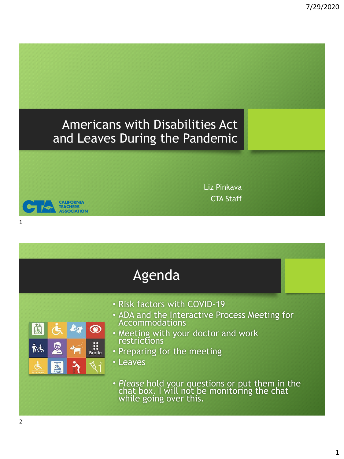# Americans with Disabilities Act and Leaves During the Pandemic



1

|                                                                                                                                     | Agenda                                                                                                                                                                                                                                                                                                                        |
|-------------------------------------------------------------------------------------------------------------------------------------|-------------------------------------------------------------------------------------------------------------------------------------------------------------------------------------------------------------------------------------------------------------------------------------------------------------------------------|
| $\ddot{a}$<br>$\tilde{\mathbf{O}}$<br>56/<br>$\bullet \bullet$<br>S.<br>$\ddot{\cdot}$<br>化气<br><b>Braille</b><br><b>EN</b><br>RAMP | • Risk factors with COVID-19<br>. ADA and the Interactive Process Meeting for<br>Accommodations<br>• Meeting with your doctor and work<br>restrictions<br>• Preparing for the meeting<br>• Leaves<br>• Please hold your questions or put them in the<br>chat box. I will not be monitoring the chat<br>while going over this. |

Liz Pinkava CTA Staff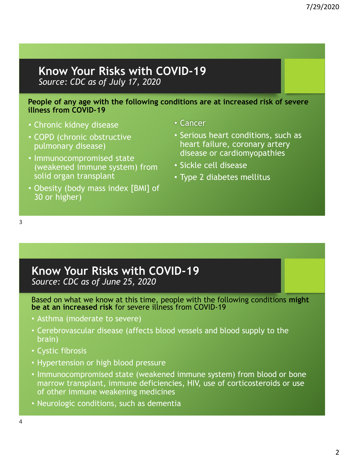### **Know Your Risks with COVID-19** *Source: CDC as of July 17, 2020*

#### **People of any age with the following conditions are at increased risk of severe illness from COVID-19**

- Chronic kidney disease
- COPD (chronic obstructive pulmonary disease)
- Immunocompromised state (weakened immune system) from solid organ transplant
- Obesity (body mass index [BMI] of 30 or higher)
- Cancer
- Serious heart conditions, such as heart failure, coronary artery disease or cardiomyopathies
- Sickle cell disease
- Type 2 diabetes mellitus

3

# **Know Your Risks with COVID-19**

*Source: CDC as of June 25, 2020*

Based on what we know at this time, people with the following conditions **might be at an increased risk** for severe illness from COVID-19

- Asthma (moderate to severe)
- Cerebrovascular disease (affects blood vessels and blood supply to the brain)
- Cystic fibrosis
- Hypertension or high blood pressure
- Immunocompromised state (weakened immune system) from blood or bone marrow transplant, immune deficiencies, HIV, use of corticosteroids or use of other immune weakening medicines
- Neurologic conditions, such as dementia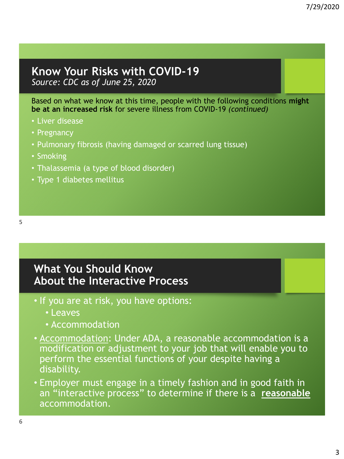#### **Know Your Risks with COVID-19** *Source: CDC as of June 25, 2020*

Based on what we know at this time, people with the following conditions **might be at an increased risk** for severe illness from COVID-19 *(continued)*

- Liver disease
- Pregnancy
- Pulmonary fibrosis (having damaged or scarred lung tissue)
- Smoking
- Thalassemia (a type of blood disorder)
- Type 1 diabetes mellitus

### **What You Should Know About the Interactive Process**

- If you are at risk, you have options:
	- Leaves
	- Accommodation
- Accommodation: Under ADA, a reasonable accommodation is a modification or adjustment to your job that will enable you to perform the essential functions of your despite having a disability.
- Employer must engage in a timely fashion and in good faith in an "interactive process" to determine if there is a **reasonable** accommodation.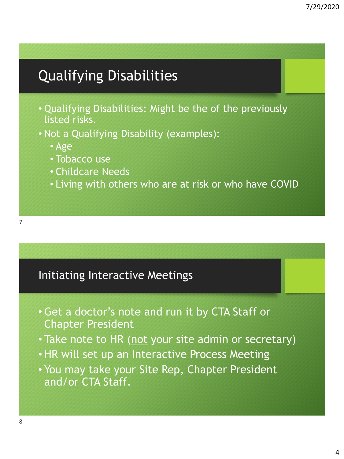# Qualifying Disabilities

- Qualifying Disabilities: Might be the of the previously listed risks.
- Not a Qualifying Disability (examples):
	- Age
	- Tobacco use
	- Childcare Needs
	- Living with others who are at risk or who have COVID

### Initiating Interactive Meetings

- •Get a doctor's note and run it by CTA Staff or Chapter President
- Take note to HR (not your site admin or secretary)
- HR will set up an Interactive Process Meeting
- You may take your Site Rep, Chapter President and/or CTA Staff.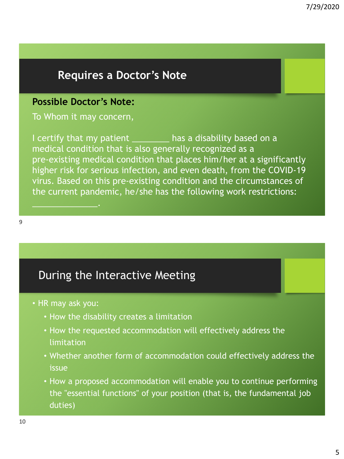# **Requires a Doctor's Note**

#### **Possible Doctor's Note:**

To Whom it may concern,

I certify that my patient and has a disability based on a medical condition that is also generally recognized as a pre-existing medical condition that places him/her at a significantly higher risk for serious infection, and even death, from the COVID-19 virus. Based on this pre-existing condition and the circumstances of the current pandemic, he/she has the following work restrictions:

# During the Interactive Meeting

• HR may ask you:

 $\blacksquare$ 

- How the disability creates a limitation
- How the requested accommodation will effectively address the limitation
- Whether another form of accommodation could effectively address the issue
- How a proposed accommodation will enable you to continue performing the "essential functions" of your position (that is, the fundamental job duties)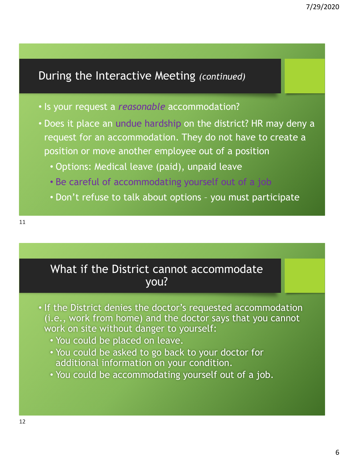# During the Interactive Meeting *(continued)*

- Is your request a *reasonable* accommodation?
- Does it place an undue hardship on the district? HR may deny a request for an accommodation. They do not have to create a position or move another employee out of a position
	- Options: Medical leave (paid), unpaid leave
	- Be careful of accommodating yourself out of a job
	- Don't refuse to talk about options you must participate

# What if the District cannot accommodate you?

- If the District denies the doctor's requested accommodation (i.e., work from home) and the doctor says that you cannot work on site without danger to yourself:
	- You could be placed on leave.
	- You could be asked to go back to your doctor for additional information on your condition.
	- You could be accommodating yourself out of a job.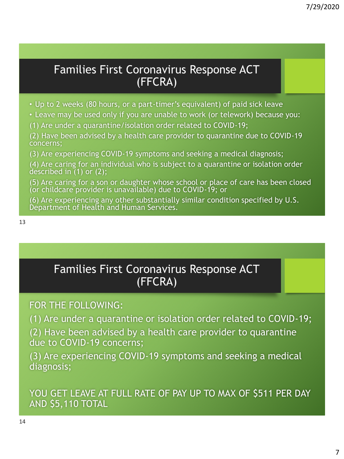# Families First Coronavirus Response ACT (FFCRA)

• Up to 2 weeks (80 hours, or a part-timer's equivalent) of paid sick leave

- Leave may be used only if you are unable to work (or telework) because you:
- (1) Are under a quarantine/isolation order related to COVID-19;

(2) Have been advised by a health care provider to quarantine due to COVID-19 concerns;

(3) Are experiencing COVID-19 symptoms and seeking a medical diagnosis;

(4) Are caring for an individual who is subject to a quarantine or isolation order described in (1) or (2);

(5) Are caring for a son or daughter whose school or place of care has been closed (or childcare provider is unavailable) due to COVID-19; or

(6) Are experiencing any other substantially similar condition specified by U.S. Department of Health and Human Services.

# Families First Coronavirus Response ACT (FFCRA)

#### FOR THE FOLLOWING:

(1) Are under a quarantine or isolation order related to COVID-19;

(2) Have been advised by a health care provider to quarantine due to COVID-19 concerns;

(3) Are experiencing COVID-19 symptoms and seeking a medical diagnosis;

YOU GET LEAVE AT FULL RATE OF PAY UP TO MAX OF \$511 PER DAY AND \$5,110 TOTAL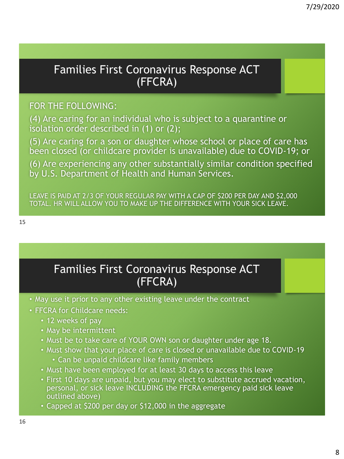# Families First Coronavirus Response ACT (FFCRA)

#### FOR THE FOLLOWING:

(4) Are caring for an individual who is subject to a quarantine or isolation order described in (1) or (2);

(5) Are caring for a son or daughter whose school or place of care has been closed (or childcare provider is unavailable) due to COVID-19; or

(6) Are experiencing any other substantially similar condition specified by U.S. Department of Health and Human Services.

LEAVE IS PAID AT 2/3 OF YOUR REGULAR PAY WITH A CAP OF \$200 PER DAY AND \$2,000 TOTAL. HR WILL ALLOW YOU TO MAKE UP THE DIFFERENCE WITH YOUR SICK LEAVE.

15

### Families First Coronavirus Response ACT (FFCRA)

- May use it prior to any other existing leave under the contract
- FFCRA for Childcare needs:
	- 12 weeks of pay
	- May be intermittent
	- Must be to take care of YOUR OWN son or daughter under age 18.
	- Must show that your place of care is closed or unavailable due to COVID-19 • Can be unpaid childcare like family members
	- Must have been employed for at least 30 days to access this leave
	- First 10 days are unpaid, but you may elect to substitute accrued vacation, personal, or sick leave INCLUDING the FFCRA emergency paid sick leave outlined above)
	- Capped at \$200 per day or \$12,000 in the aggregate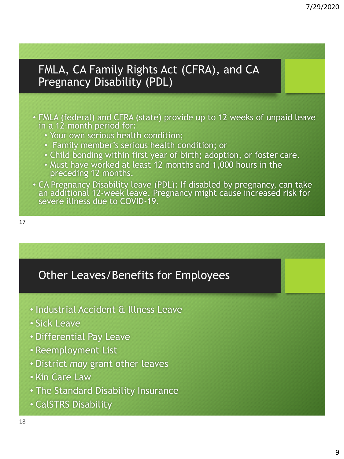FMLA, CA Family Rights Act (CFRA), and CA Pregnancy Disability (PDL)

- FMLA (federal) and CFRA (state) provide up to 12 weeks of unpaid leave in a 12-month period for:
	- Your own serious health condition;
	- Family member's serious health condition; or
	- Child bonding within first year of birth; adoption, or foster care.
	- Must have worked at least 12 months and 1,000 hours in the preceding 12 months.
- CA Pregnancy Disability leave (PDL): If disabled by pregnancy, can take an additional 12-week leave. Pregnancy might cause increased risk for severe illness due to COVID-19.

# Other Leaves/Benefits for Employees

- Industrial Accident & Illness Leave
- Sick Leave
- Differential Pay Leave
- Reemployment List
- District *may* grant other leaves
- Kin Care Law
- The Standard Disability Insurance
- CalSTRS Disability